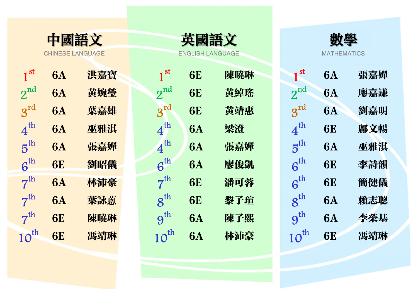

CHINESE LANGUAGE

| 1 <sup>st</sup>  | <b>6A</b> | 洪嘉寳 | 1 <sup>st</sup>  | <b>6E</b> | 陳曉琳 | 1 <sup>st</sup>          | <b>6A</b> | 張嘉嬋 |
|------------------|-----------|-----|------------------|-----------|-----|--------------------------|-----------|-----|
| $2^{nd}$         | <b>6A</b> | 黄婉瑩 | $2^{nd}$         | <b>6E</b> | 黄綽瑤 | $2^{nd}$                 | <b>6A</b> | 廖嘉謙 |
| $3^{rd}$         | <b>6A</b> | 葉嘉雄 | $3^{rd}$         | <b>6E</b> | 黄靖惠 | $3^{rd}$                 | <b>6A</b> | 劉嘉明 |
| 4 <sup>th</sup>  | <b>6A</b> | 巫雅淇 | $4^{th}$         | <b>6A</b> | 梁澄  | 4 <sup>th</sup>          | <b>6E</b> | 鄺文暢 |
| 5 <sup>th</sup>  | <b>6A</b> | 張嘉嬋 | 4 <sup>th</sup>  | <b>6A</b> | 張嘉嬋 | 5 <sup>th</sup>          | <b>6A</b> | 巫雅淇 |
| 6 <sup>th</sup>  | <b>6E</b> | 劉昭儀 | 6 <sup>th</sup>  | <b>6A</b> | 廖俊凱 | $6^{th}$                 | <b>6E</b> | 李詩韻 |
| 7 <sup>th</sup>  | <b>6A</b> | 林沛豪 | 7 <sup>th</sup>  | <b>6E</b> | 潘可蓉 | $6^{th}$                 | <b>6E</b> | 簡健儀 |
| 7 <sup>th</sup>  | <b>6A</b> | 葉詠蔥 | $8^{th}$         | <b>6E</b> | 黎子瑄 | $8^{\text{th}}$          | <b>6A</b> | 賴志聰 |
| 7 <sup>th</sup>  | <b>6E</b> | 陳曉琳 | 9 <sup>th</sup>  | <b>6A</b> | 陳子熙 | $\mathbf{g}^{\text{th}}$ | <b>6A</b> | 李榮基 |
| $10^{\text{th}}$ | <b>6E</b> | 馮靖琳 | $10^{\text{th}}$ | <b>6A</b> | 林沛豪 | $10^{\text{th}}$         | <b>6E</b> | 馮靖琳 |

| 英國語文             |
|------------------|
| ENGLISH LANGUAGI |

| $1^{51}$         | <b>6A</b> | 洪嘉寳 | $1^{51}$         | <b>6E</b> | 陳曉琳 | $1^{51}$         | <b>6A</b> | 張嘉嬋 |
|------------------|-----------|-----|------------------|-----------|-----|------------------|-----------|-----|
| $2^{nd}$         | <b>6A</b> | 黄婉瑩 | $2^{nd}$         | <b>6E</b> | 黄綽瑤 | $2^{nd}$         | <b>6A</b> | 廖嘉謙 |
| $3^{rd}$         | <b>6A</b> | 葉嘉雄 | $3^{rd}$         | <b>6E</b> | 黄靖惠 | $3^{rd}$         | <b>6A</b> | 劉嘉明 |
| 4 <sup>th</sup>  | <b>6A</b> | 巫雅淇 | 4 <sup>th</sup>  | <b>6A</b> | 梁澄  | 4 <sup>th</sup>  | <b>6E</b> | 鄺文暢 |
| 5 <sup>th</sup>  | <b>6A</b> | 張嘉嬋 | 4 <sup>th</sup>  | <b>6A</b> | 張嘉嬋 | $5^{\text{th}}$  | <b>6A</b> | 巫雅淇 |
| 6 <sup>th</sup>  | <b>6E</b> | 劉昭儀 | $6^{\text{th}}$  | <b>6A</b> | 廖俊凱 | $6^{th}$         | <b>6E</b> | 李詩韻 |
| 7 <sup>th</sup>  | <b>6A</b> | 林沛豪 | 7 <sup>th</sup>  | <b>6E</b> | 潘可蓉 | 6 <sup>th</sup>  | <b>6E</b> | 簡健儀 |
| 7 <sup>th</sup>  | <b>6A</b> | 葉詠蔥 | $8^{\text{th}}$  | <b>6E</b> | 黎子瑄 | $8^{\text{th}}$  | <b>6A</b> | 賴志聰 |
| 7 <sup>th</sup>  | <b>6E</b> | 陳曉琳 | 9 <sup>th</sup>  | <b>6A</b> | 陳子熙 | 9 <sup>th</sup>  | <b>6A</b> | 李榮基 |
| $10^{\text{th}}$ | <b>6E</b> | 馮靖琳 | $10^{\text{th}}$ | <b>6A</b> | 林沛豪 | $10^{\text{th}}$ | <b>6E</b> | 馮靖琳 |
|                  |           |     |                  |           |     |                  |           |     |



| 1 <sup>st</sup>                         | 6A        | 張嘉嬋 |
|-----------------------------------------|-----------|-----|
| $2^{\text{nd}}$                         | <b>6A</b> | 廖嘉謙 |
| $3^{\text{rd}}$                         | <b>6A</b> | 劉嘉明 |
| $\bold{4^\text{th}}$                    | <b>6E</b> | 鄺文暢 |
| $\overline{5}^{\text{th}}$              | <b>6A</b> | 巫雅淇 |
| $\boldsymbol{\mathsf{\beta}}^\text{th}$ | <b>6E</b> | 李詩韻 |
| $\boldsymbol{\mathsf{\beta}}^\text{th}$ | <b>6E</b> | 簡健儀 |
| $8^{\rm th}$                            | <b>6A</b> | 賴志聰 |
| $\mathsf{9}^{\text{th}}$                | <b>6A</b> | 李榮基 |
| $\overline{\mathsf{O}}^\text{th}$       | <b>6E</b> | 馮靖琳 |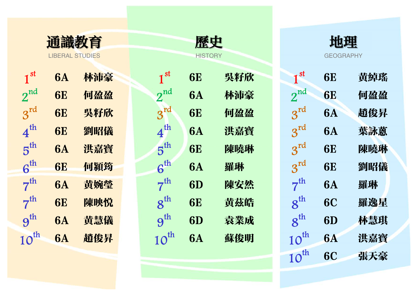| 通識教育                         |                        |     |  |  |  |  |  |  |  |
|------------------------------|------------------------|-----|--|--|--|--|--|--|--|
|                              | <b>LIBERAL STUDIES</b> |     |  |  |  |  |  |  |  |
| $1^{\rm \, st}$              | 6A                     | 林沛豪 |  |  |  |  |  |  |  |
| $2^{nd}$                     | 6E                     | 何盈盈 |  |  |  |  |  |  |  |
| $3^{\rm rd}$                 | 6E                     | 吳籽欣 |  |  |  |  |  |  |  |
| $\boldsymbol{4}^{\text{th}}$ | 6E                     | 劉昭儀 |  |  |  |  |  |  |  |
| $5^{\rm th}$                 | 6A                     | 洪嘉寳 |  |  |  |  |  |  |  |
| $\boldsymbol{6}^{\text{th}}$ | <b>6E</b>              | 何潁筠 |  |  |  |  |  |  |  |
| $7^{\text{th}}$              | 6A                     | 黃婉瑩 |  |  |  |  |  |  |  |
| $7^{\rm th}$                 | <b>6E</b>              | 陳映悦 |  |  |  |  |  |  |  |
| $9^{th}$                     | 6A                     | 黄慧儀 |  |  |  |  |  |  |  |
| $10^{\rm th}$                | 6A                     | 趙俊昇 |  |  |  |  |  |  |  |

|                 | 通識教育                   |     |  | 歷史               |           |     |                  |           |     |
|-----------------|------------------------|-----|--|------------------|-----------|-----|------------------|-----------|-----|
|                 | <b>LIBERAL STUDIES</b> |     |  | <b>HISTORY</b>   |           |     | <b>GEOGRAPHY</b> |           |     |
| 1 <sup>st</sup> | <b>6A</b>              | 林沛豪 |  | 1 <sup>st</sup>  | <b>6E</b> | 吳籽欣 | 1 <sup>st</sup>  | <b>6E</b> | 黄綽瑤 |
| $2^{nd}$        | <b>6E</b>              | 何盈盈 |  | $2^{nd}$         | <b>6A</b> | 林沛豪 | $2^{nd}$         | <b>6E</b> | 何盈盈 |
| $3^{rd}$        | <b>6E</b>              | 吳籽欣 |  | $3^{rd}$         | <b>6E</b> | 何盈盈 | $3^{rd}$         | <b>6A</b> | 趙俊昇 |
| 4 <sup>th</sup> | <b>6E</b>              | 劉昭儀 |  | 4 <sup>th</sup>  | <b>6A</b> | 洪嘉寳 | $3^{rd}$         | <b>6A</b> | 葉詠蔥 |
| 5 <sup>th</sup> | <b>6A</b>              | 洪嘉寳 |  | 5 <sup>th</sup>  | <b>6E</b> | 陳曉琳 | $3^{rd}$         | <b>6E</b> | 陳曉琳 |
| 6 <sup>th</sup> | <b>6E</b>              | 何潁筠 |  | $6^{th}$         | <b>6A</b> | 羅琳  | $3^{rd}$         | <b>6E</b> | 劉昭儀 |
| 7 <sup>th</sup> | <b>6A</b>              | 黄婉瑩 |  | 7 <sup>th</sup>  | 6D        | 陳安然 | 7 <sup>th</sup>  | <b>6A</b> | 羅琳  |
| 7 <sup>th</sup> | <b>6E</b>              | 陳映悦 |  | $8^{\text{th}}$  | <b>6E</b> | 黄茲皓 | $8^{\text{th}}$  | <b>6C</b> | 羅逸星 |
| 9 <sup>th</sup> | <b>6A</b>              | 黄慧儀 |  | 9 <sup>th</sup>  | 6D        | 袁業成 | $8^{\text{th}}$  | 6D        | 林慧琪 |
| $10^{\rm th}$   | <b>6A</b>              | 趙俊昇 |  | $10^{\text{th}}$ | <b>6A</b> | 蘇俊明 | $10^{\text{th}}$ | <b>6A</b> | 洪嘉寳 |
|                 |                        |     |  |                  |           |     |                  |           |     |

|                          | <b>LIBERAL STUDIES</b> |     |                  | <b>HISTORY</b> |     |                  | <b>GEOGRAPHY</b> |     |
|--------------------------|------------------------|-----|------------------|----------------|-----|------------------|------------------|-----|
| st                       | <b>6A</b>              | 林沛豪 | 1 <sup>st</sup>  | <b>6E</b>      | 吳籽欣 | 1 <sup>st</sup>  | <b>6E</b>        | 黄綽瑤 |
| nd                       | <b>6E</b>              | 何盈盈 | $2^{nd}$         | <b>6A</b>      | 林沛豪 | $2^{nd}$         | <b>6E</b>        | 何盈盈 |
| rd                       | <b>6E</b>              | 吳籽欣 | $3^{rd}$         | <b>6E</b>      | 何盈盈 | $3^{rd}$         | <b>6A</b>        | 趙俊昇 |
| th                       | <b>6E</b>              | 劉昭儀 | 4 <sup>th</sup>  | <b>6A</b>      | 洪嘉寳 | $3^{rd}$         | <b>6A</b>        | 葉詠蔥 |
| th                       | <b>6A</b>              | 洪嘉寳 | 5 <sup>th</sup>  | <b>6E</b>      | 陳曉琳 | $3^{rd}$         | <b>6E</b>        | 陳曉琳 |
| th                       | <b>6E</b>              | 何潁筠 | $6^{th}$         | <b>6A</b>      | 羅琳  | $3^{rd}$         | <b>6E</b>        | 劉昭儀 |
| th                       | <b>6A</b>              | 黄婉瑩 | 7 <sup>th</sup>  | 6D             | 陳安然 | 7 <sup>th</sup>  | <b>6A</b>        | 羅琳  |
| th                       | <b>6E</b>              | 陳映悦 | $8^{\text{th}}$  | <b>6E</b>      | 黄茲皓 | $8^{\text{th}}$  | <b>6C</b>        | 羅逸星 |
| th                       | <b>6A</b>              | 黄慧儀 | 9 <sup>th</sup>  | 6D             | 袁業成 | $8^{\text{th}}$  | 6D               | 林慧琪 |
| $\mathbf{y}^{\text{th}}$ | <b>6A</b>              | 趙俊昇 | $10^{\text{th}}$ | <b>6A</b>      | 蘇俊明 | $10^{\text{th}}$ | <b>6A</b>        | 洪嘉寳 |
|                          |                        |     |                  |                |     | $10^{\text{th}}$ | <b>6C</b>        | 張天豪 |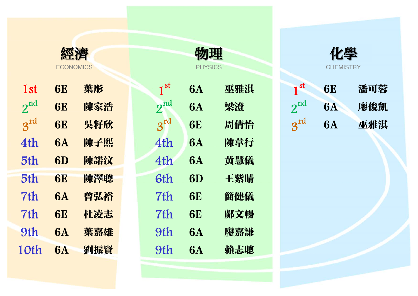|              | <b>ECONOMICS</b> |     |  |  |  |  |
|--------------|------------------|-----|--|--|--|--|
| 1st          | 6E               | 葉彤  |  |  |  |  |
| $2^{nd}$     | <b>6E</b>        | 陳家浩 |  |  |  |  |
| $3^{\rm rd}$ | <b>6E</b>        | 吳籽欣 |  |  |  |  |
| 4th          | 6A               | 陳子熙 |  |  |  |  |
| 5th          | 6D               | 陳諾汶 |  |  |  |  |
| 5th          | 6E               | 陳澤聰 |  |  |  |  |
| 7th          | 6A               | 曾弘裕 |  |  |  |  |
| 7th          | 6E               | 杜凌志 |  |  |  |  |
| 9th          | <b>6A</b>        | 葉嘉雄 |  |  |  |  |
| 10th         | <b>6A</b>        | 劉振賢 |  |  |  |  |

|          | <b>ECONOMICS</b> |     | <b>PHYSICS</b>  |           |     |  | <b>CHEMISTRY</b> |           |     |  |
|----------|------------------|-----|-----------------|-----------|-----|--|------------------|-----------|-----|--|
| 1st      | <b>6E</b>        | 葉彤  | 1 <sup>st</sup> | <b>6A</b> | 巫雅淇 |  | 1 <sup>st</sup>  | <b>6E</b> | 潘可蓉 |  |
| $2^{nd}$ | <b>6E</b>        | 陳家浩 | $2^{nd}$        | <b>6A</b> | 梁澄  |  | $2^{nd}$         | <b>6A</b> | 廖俊凱 |  |
| $3^{rd}$ | <b>6E</b>        | 吳籽欣 | 3 <sup>rd</sup> | <b>6E</b> | 周倩怡 |  | $3^{rd}$         | <b>6A</b> | 巫雅淇 |  |
| 4th      | <b>6A</b>        | 陳子熙 | 4th             | <b>6A</b> | 陳韋行 |  |                  |           |     |  |
| 5th      | 6D               | 陳諾汶 | 4th             | <b>6A</b> | 黄慧儀 |  |                  |           |     |  |
| 5th      | <b>6E</b>        | 陳澤聰 | 6th             | 6D        | 王紫晴 |  |                  |           |     |  |
| 7th      | <b>6A</b>        | 曾弘裕 | 7th             | <b>6E</b> | 簡健儀 |  |                  |           |     |  |
| 7th      | <b>6E</b>        | 杜凌志 | 7th             | <b>6E</b> | 鄺文暢 |  |                  |           |     |  |
| 9th      | <b>6A</b>        | 葉嘉雄 | 9th             | <b>6A</b> | 廖嘉謙 |  |                  |           |     |  |
| 10th     | <b>6A</b>        | 劉振賢 | 9th             | <b>6A</b> | 賴志聰 |  |                  |           |     |  |
|          |                  |     |                 |           |     |  |                  |           |     |  |

經濟 物理 化學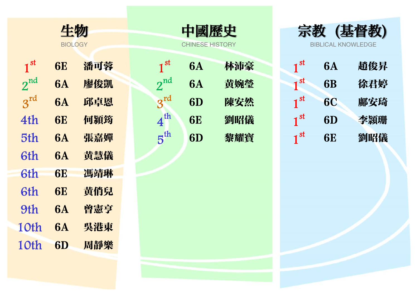|                 | 牛物<br><b>BIOLOGY</b> |     |  |  |  |  |  |  |
|-----------------|----------------------|-----|--|--|--|--|--|--|
|                 |                      |     |  |  |  |  |  |  |
| 1 <sup>st</sup> | 6E                   | 潘可蓉 |  |  |  |  |  |  |
| $2^{nd}$        | 6A                   | 廖俊凱 |  |  |  |  |  |  |
| $3^{\text{rd}}$ | 6A                   | 邱卓恩 |  |  |  |  |  |  |
| 4th             | 6E                   | 何潁筠 |  |  |  |  |  |  |
| 5th             | 6A                   | 張嘉嬋 |  |  |  |  |  |  |
| 6th             | 6A                   | 黄慧儀 |  |  |  |  |  |  |
| 6th             | 6E                   | 馮靖琳 |  |  |  |  |  |  |
| 6th             | 6E                   | 黄俏兒 |  |  |  |  |  |  |
| 9th             | 6A                   | 曾憲亨 |  |  |  |  |  |  |
| 10th            | 6A                   | 吳港東 |  |  |  |  |  |  |
| 10th            | 6D                   | 周靜樂 |  |  |  |  |  |  |

| 1 <sup>st</sup> | <b>6E</b> | 潘可蓉 | 1 <sup>st</sup> | <b>6A</b> | 林沛豪 | 1 <sup>st</sup>          | <b>6A</b> | 趙俊昇 |
|-----------------|-----------|-----|-----------------|-----------|-----|--------------------------|-----------|-----|
| $2^{nd}$        | <b>6A</b> | 廖俊凱 | $2^{nd}$        | <b>6A</b> | 黄婉瑩 | 1 <sup>st</sup>          | <b>6B</b> | 徐君婷 |
| $3^{rd}$        | <b>6A</b> | 邱卓恩 | $2^{rd}$        | 6D        | 陳安然 | $\mathbf{1}^{\text{st}}$ | <b>6C</b> | 鄺安琦 |
| 4th             | <b>6E</b> | 何潁筠 | $4^{\text{th}}$ | <b>6E</b> | 劉昭儀 | 1 <sup>st</sup>          | 6D        | 李頴珊 |
| 5th             | <b>6A</b> | 張嘉嬋 | $5^{\rm th}$    | 6D        | 黎耀寶 | 1 <sup>st</sup>          | <b>6E</b> | 劉昭儀 |

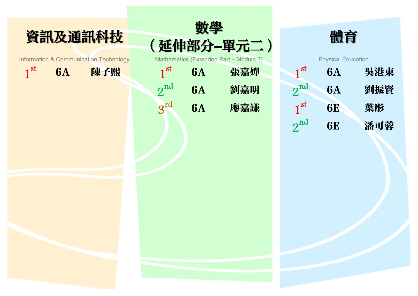



 $1^\mathrm{st}$  6A 陳子熙  $1^\mathrm{st}$  6A 張嘉嬋  $1^\mathrm{st}$  6A 吳港東 and  $2^{\text{nd}}$  and  $6\text{A}$   $30\text{K}$   $30\text{K}$   $2^{\text{nd}}$   $30\text{K}$   $2^{\text{nd}}$   $30\text{K}$   $30\text{K}$   $30\text{K}$   $30\text{K}$   $30\text{K}$   $30\text{K}$   $30\text{K}$   $30\text{K}$   $30\text{K}$   $30\text{K}$   $30\text{K}$   $30\text{K}$   $30\text{K}$   $30\text{K}$   $30$  $3^{\text{rd}}$  6A 廖嘉謙



|    |           | hematics (Extended Part - Module 2) |                 | <b>Physical Education</b> |     |  |  |  |  |
|----|-----------|-------------------------------------|-----------------|---------------------------|-----|--|--|--|--|
| st | <b>6A</b> | 張嘉嬋                                 | 1 <sup>st</sup> | <b>6A</b>                 | 吳港東 |  |  |  |  |
| nd | <b>6A</b> | 劉嘉明                                 | $2^{nd}$        | <b>6A</b>                 | 劉振賢 |  |  |  |  |
| rd | <b>6A</b> | 廖嘉謙                                 | 1 <sup>st</sup> | <b>6E</b>                 | 葉彤  |  |  |  |  |
|    |           |                                     | $2^{nd}$        | <b>6E</b>                 | 潘可蓉 |  |  |  |  |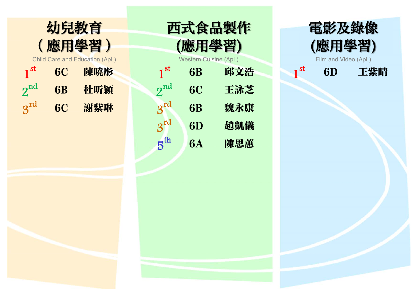

|                                       |           | 應用學習) |                              |           | (應用學習) |                          | (應用學習)               |     |  |
|---------------------------------------|-----------|-------|------------------------------|-----------|--------|--------------------------|----------------------|-----|--|
| <b>Child Care and Education (ApL)</b> |           |       | <b>Western Cuisine (ApL)</b> |           |        |                          | Film and Video (ApL) |     |  |
| $\mathsf{1}^{\mathrm{st}}$            | <b>6C</b> | 陳曉彤   | 1 <sup>st</sup>              | <b>6B</b> | 邱文浩    | $\mathbf{I}^{\text{st}}$ | 6 <sub>D</sub>       | 王紫晴 |  |
| $\mathbf{z}$                          | <b>6B</b> | 杜听穎   | $2^{nd}$                     | <b>6C</b> | 王詠芝    |                          |                      |     |  |
| $a^{\text{rd}}$                       | <b>6C</b> | 謝紫琳   | $\mathbf{z}^{\text{rd}}$     | <b>6B</b> | 魏永康    |                          |                      |     |  |
|                                       |           |       | $3^{rd}$                     | 6D        | 趙凱儀    |                          |                      |     |  |
|                                       |           |       | 5 <sup>th</sup>              | <b>6A</b> | 陳思蕙    |                          |                      |     |  |
|                                       |           |       |                              |           |        |                          |                      |     |  |

西式食品製作



![](_page_5_Picture_3.jpeg)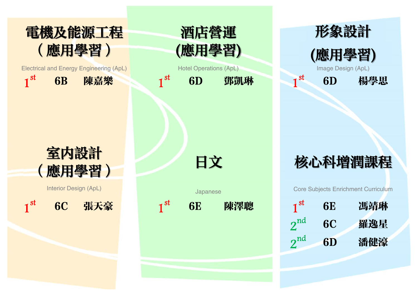![](_page_6_Picture_0.jpeg)

![](_page_6_Picture_1.jpeg)

![](_page_6_Picture_2.jpeg)

![](_page_6_Picture_3.jpeg)

| 1 <sup>st</sup> | 6E | 馮靖琳 |
|-----------------|----|-----|
| $2^{\rm nd}$    | 6C | 羅逸星 |
| $2^{\text{nd}}$ | 6D | 潘健濠 |